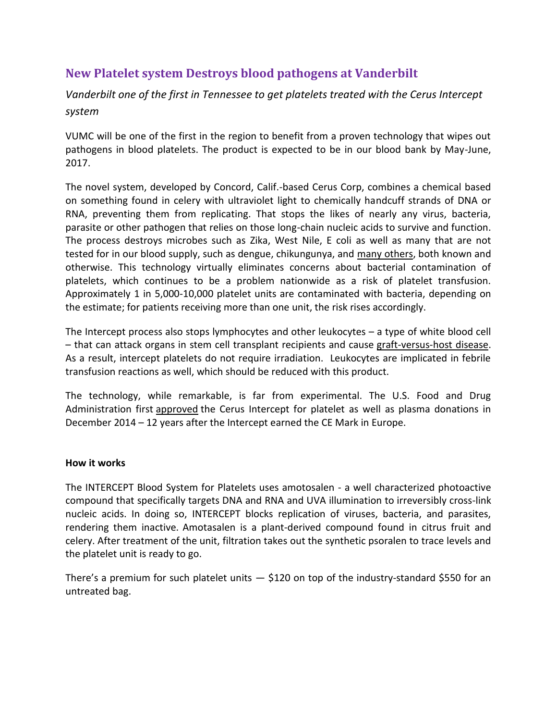# **New Platelet system Destroys blood pathogens at Vanderbilt**

*Vanderbilt one of the first in Tennessee to get platelets treated with the Cerus Intercept system*

VUMC will be one of the first in the region to benefit from a proven technology that wipes out pathogens in blood platelets. The product is expected to be in our blood bank by May-June, 2017.

The novel system, developed by Concord, Calif.-based Cerus Corp, combines a chemical based on something found in celery with ultraviolet light to chemically handcuff strands of DNA or RNA, preventing them from replicating. That stops the likes of nearly any virus, bacteria, parasite or other pathogen that relies on those long-chain nucleic acids to survive and function. The process destroys microbes such as Zika, West Nile, E coli as well as many that are not tested for in our blood supply, such as dengue, chikungunya, and [many others,](http://intercept-usa.com/what-is-intercept/how-intercept-works#spectrum) both known and otherwise. This technology virtually eliminates concerns about bacterial contamination of platelets, which continues to be a problem nationwide as a risk of platelet transfusion. Approximately 1 in 5,000-10,000 platelet units are contaminated with bacteria, depending on the estimate; for patients receiving more than one unit, the risk rises accordingly.

The Intercept process also stops lymphocytes and other leukocytes – a type of white blood cell – that can attack organs in stem cell transplant recipients and cause [graft-versus-host disease.](https://medlineplus.gov/ency/article/001309.htm) As a result, intercept platelets do not require irradiation. Leukocytes are implicated in febrile transfusion reactions as well, which should be reduced with this product.

The technology, while remarkable, is far from experimental. The U.S. Food and Drug Administration first [approved](http://www.fda.gov/NewsEvents/Newsroom/PressAnnouncements/ucm427500.htm) the Cerus Intercept for platelet as well as plasma donations in December 2014 – 12 years after the Intercept earned the CE Mark in Europe.

### **How it works**

The INTERCEPT Blood System for Platelets uses amotosalen - a well characterized photoactive compound that specifically targets DNA and RNA and UVA illumination to irreversibly cross-link nucleic acids. In doing so, INTERCEPT blocks replication of viruses, bacteria, and parasites, rendering them inactive. Amotasalen is a plant-derived compound found in citrus fruit and celery. After treatment of the unit, filtration takes out the synthetic psoralen to trace levels and the platelet unit is ready to go.

There's a premium for such platelet units  $-$  \$120 on top of the industry-standard \$550 for an untreated bag.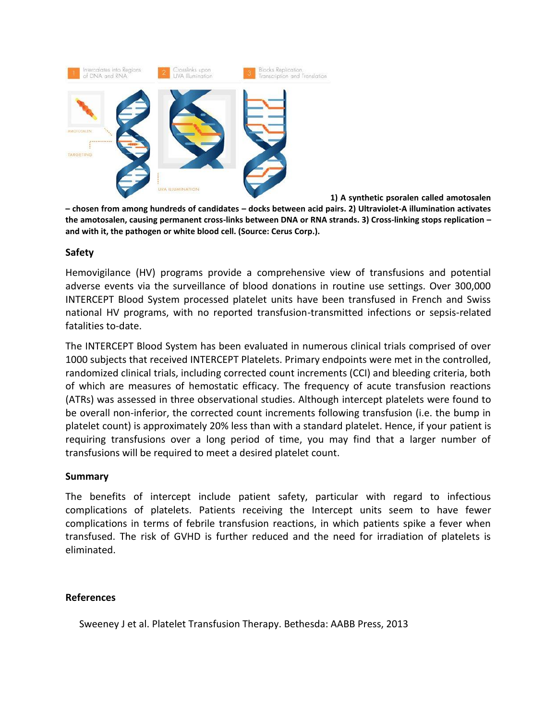

**1) A synthetic psoralen called amotosalen** 

**– chosen from among hundreds of candidates – docks between acid pairs. 2) Ultraviolet-A illumination activates the amotosalen, causing permanent cross-links between DNA or RNA strands. 3) Cross-linking stops replication – and with it, the pathogen or white blood cell. (Source: Cerus Corp.).**

### **Safety**

Hemovigilance (HV) programs provide a comprehensive view of transfusions and potential adverse events via the surveillance of blood donations in routine use settings. Over 300,000 INTERCEPT Blood System processed platelet units have been transfused in French and Swiss national HV programs, with no reported transfusion-transmitted infections or sepsis-related fatalities to-date.

The INTERCEPT Blood System has been evaluated in numerous clinical trials comprised of over 1000 subjects that received INTERCEPT Platelets. Primary endpoints were met in the controlled, randomized clinical trials, including corrected count increments (CCI) and bleeding criteria, both of which are measures of hemostatic efficacy. The frequency of acute transfusion reactions (ATRs) was assessed in three observational studies. Although intercept platelets were found to be overall non-inferior, the corrected count increments following transfusion (i.e. the bump in platelet count) is approximately 20% less than with a standard platelet. Hence, if your patient is requiring transfusions over a long period of time, you may find that a larger number of transfusions will be required to meet a desired platelet count.

### **Summary**

The benefits of intercept include patient safety, particular with regard to infectious complications of platelets. Patients receiving the Intercept units seem to have fewer complications in terms of febrile transfusion reactions, in which patients spike a fever when transfused. The risk of GVHD is further reduced and the need for irradiation of platelets is eliminated.

## **References**

Sweeney J et al. Platelet Transfusion Therapy. Bethesda: AABB Press, 2013